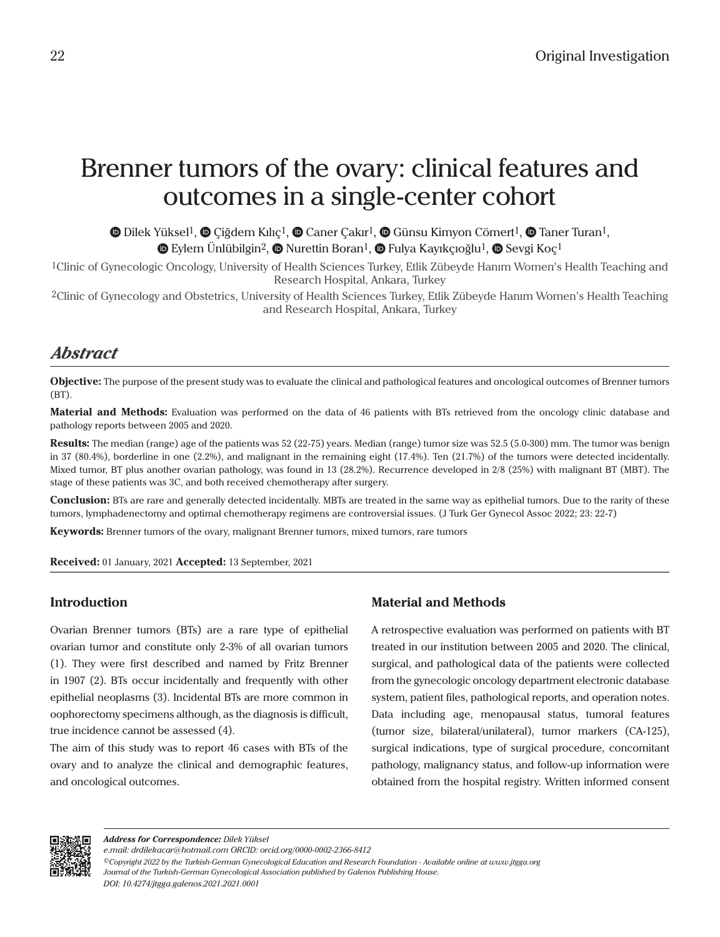# Brenner tumors of the ovary: clinical features and outcomes in a single-center cohort

 $\bullet$ Dilek Yüksel<sup>1</sup>,  $\bullet$  Çiğdem Kılıç<sup>1</sup>,  $\bullet$  Caner Çakır<sup>1</sup>,  $\bullet$  Günsu Kimyon Cömert<sup>1</sup>,  $\bullet$  Taner Turan<sup>1</sup>, **©**Eylem Ünlübilgin<sup>2</sup>, © Nurettin Boran<sup>1</sup>, © Fulya Kayıkçıoğlu<sup>1</sup>, © Sevgi Koç<sup>1</sup>

1Clinic of Gynecologic Oncology, University of Health Sciences Turkey, Etlik Zübeyde Hanım Women's Health Teaching and Research Hospital, Ankara, Turkey

2Clinic of Gynecology and Obstetrics, University of Health Sciences Turkey, Etlik Zübeyde Hanım Women's Health Teaching and Research Hospital, Ankara, Turkey

# *Abstract*

**Objective:** The purpose of the present study was to evaluate the clinical and pathological features and oncological outcomes of Brenner tumors (BT).

**Material and Methods:** Evaluation was performed on the data of 46 patients with BTs retrieved from the oncology clinic database and pathology reports between 2005 and 2020.

**Results:** The median (range) age of the patients was 52 (22-75) years. Median (range) tumor size was 52.5 (5.0-300) mm. The tumor was benign in 37 (80.4%), borderline in one (2.2%), and malignant in the remaining eight (17.4%). Ten (21.7%) of the tumors were detected incidentally. Mixed tumor, BT plus another ovarian pathology, was found in 13 (28.2%). Recurrence developed in 2/8 (25%) with malignant BT (MBT). The stage of these patients was 3C, and both received chemotherapy after surgery.

**Conclusion:** BTs are rare and generally detected incidentally. MBTs are treated in the same way as epithelial tumors. Due to the rarity of these tumors, lymphadenectomy and optimal chemotherapy regimens are controversial issues. (J Turk Ger Gynecol Assoc 2022; 23: 22-7)

**Keywords:** Brenner tumors of the ovary, malignant Brenner tumors, mixed tumors, rare tumors

**Received:** 01 January, 2021 **Accepted:** 13 September, 2021

# **Introduction**

Ovarian Brenner tumors (BTs) are a rare type of epithelial ovarian tumor and constitute only 2-3% of all ovarian tumors (1). They were first described and named by Fritz Brenner in 1907 (2). BTs occur incidentally and frequently with other epithelial neoplasms (3). Incidental BTs are more common in oophorectomy specimens although, as the diagnosis is difficult, true incidence cannot be assessed (4).

The aim of this study was to report 46 cases with BTs of the ovary and to analyze the clinical and demographic features, and oncological outcomes.

# **Material and Methods**

A retrospective evaluation was performed on patients with BT treated in our institution between 2005 and 2020. The clinical, surgical, and pathological data of the patients were collected from the gynecologic oncology department electronic database system, patient files, pathological reports, and operation notes. Data including age, menopausal status, tumoral features (tumor size, bilateral/unilateral), tumor markers (CA-125), surgical indications, type of surgical procedure, concomitant pathology, malignancy status, and follow-up information were obtained from the hospital registry. Written informed consent



*e.mail: drdilekacar@hotmail.com ORCID: orcid.org/0000-0002-2366-8412*

*<sup>©</sup>Copyright 2022 by the Turkish-German Gynecological Education and Research Foundation - Available online at www.jtgga.org Journal of the Turkish-German Gynecological Association published by Galenos Publishing House. DOI: 10.4274/jtgga.galenos.2021.2021.0001*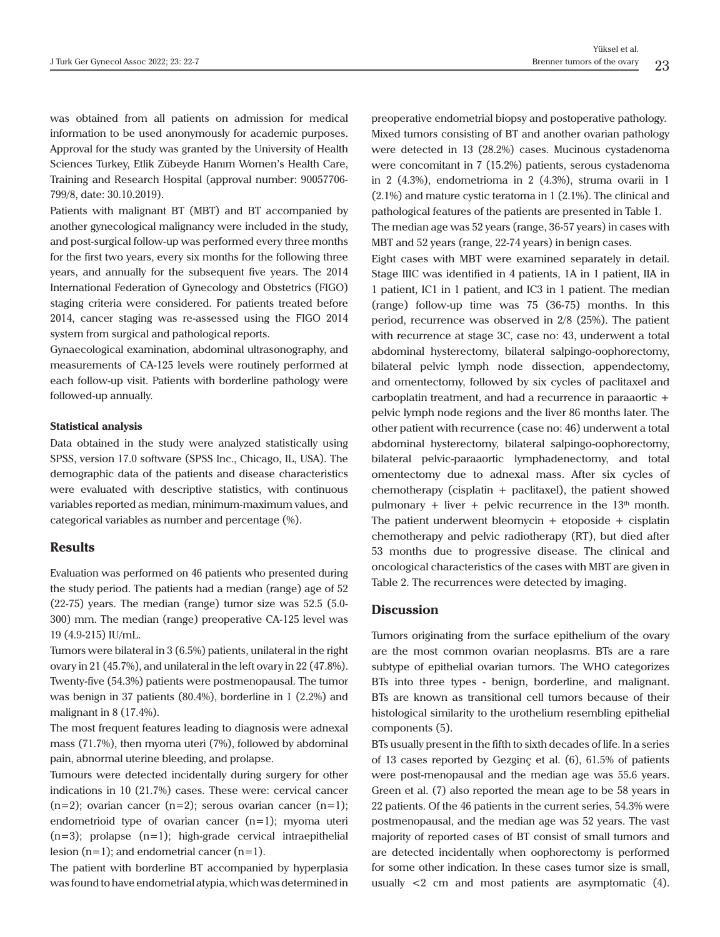was obtained from all patients on admission for medical information to be used anonymously for academic purposes. Approval for the study was granted by the University of Health Sciences Turkey, Etlik Zübeyde Hanım Women's Health Care, Training and Research Hospital (approval number: 90057706- 799/8, date: 30.10.2019).

Patients with malignant BT (MBT) and BT accompanied by another gynecological malignancy were included in the study, and post-surgical follow-up was performed every three months for the first two years, every six months for the following three years, and annually for the subsequent five years. The 2014 International Federation of Gynecology and Obstetrics (FIGO) staging criteria were considered. For patients treated before 2014, cancer staging was re-assessed using the FIGO 2014 system from surgical and pathological reports.

Gynaecological examination, abdominal ultrasonography, and measurements of CA-125 levels were routinely performed at each follow-up visit. Patients with borderline pathology were followed-up annually.

#### **Statistical analysis**

Data obtained in the study were analyzed statistically using SPSS, version 17.0 software (SPSS Inc., Chicago, IL, USA). The demographic data of the patients and disease characteristics were evaluated with descriptive statistics, with continuous variables reported as median, minimum-maximum values, and categorical variables as number and percentage (%).

#### **Results**

Evaluation was performed on 46 patients who presented during the study period. The patients had a median (range) age of 52 (22-75) years. The median (range) tumor size was 52.5 (5.0- 300) mm. The median (range) preoperative CA-125 level was 19 (4.9-215) IU/mL.

Tumors were bilateral in 3 (6.5%) patients, unilateral in the right ovary in 21 (45.7%), and unilateral in the left ovary in 22 (47.8%). Twenty-five (54.3%) patients were postmenopausal. The tumor was benign in 37 patients (80.4%), borderline in 1 (2.2%) and malignant in 8 (17.4%).

The most frequent features leading to diagnosis were adnexal mass (71.7%), then myoma uteri (7%), followed by abdominal pain, abnormal uterine bleeding, and prolapse.

Tumours were detected incidentally during surgery for other indications in 10 (21.7%) cases. These were: cervical cancer  $(n=2)$ ; ovarian cancer  $(n=2)$ ; serous ovarian cancer  $(n=1)$ ; endometrioid type of ovarian cancer  $(n=1)$ ; myoma uteri  $(n=3)$ ; prolapse  $(n=1)$ ; high-grade cervical intraepithelial lesion  $(n=1)$ ; and endometrial cancer  $(n=1)$ .

The patient with borderline BT accompanied by hyperplasia was found to have endometrial atypia, which was determined in

preoperative endometrial biopsy and postoperative pathology. Mixed tumors consisting of BT and another ovarian pathology were detected in 13 (28.2%) cases. Mucinous cystadenoma were concomitant in 7 (15.2%) patients, serous cystadenoma in 2 (4.3%), endometrioma in 2 (4.3%), struma ovarii in 1 (2.1%) and mature cystic teratoma in 1 (2.1%). The clinical and pathological features of the patients are presented in Table 1. The median age was 52 years (range, 36-57 years) in cases with MBT and 52 years (range, 22-74 years) in benign cases.

Eight cases with MBT were examined separately in detail. Stage IIIC was identified in 4 patients, 1A in 1 patient, IIA in 1 patient, IC1 in 1 patient, and IC3 in 1 patient. The median (range) follow-up time was 75 (36-75) months. In this period, recurrence was observed in 2/8 (25%). The patient with recurrence at stage 3C, case no: 43, underwent a total abdominal hysterectomy, bilateral salpingo-oophorectomy, bilateral pelvic lymph node dissection, appendectomy, and omentectomy, followed by six cycles of paclitaxel and carboplatin treatment, and had a recurrence in paraaortic + pelvic lymph node regions and the liver 86 months later. The other patient with recurrence (case no: 46) underwent a total abdominal hysterectomy, bilateral salpingo-oophorectomy, bilateral pelvic-paraaortic lymphadenectomy, and total omentectomy due to adnexal mass. After six cycles of chemotherapy (cisplatin + paclitaxel), the patient showed pulmonary + liver + pelvic recurrence in the  $13<sup>th</sup>$  month. The patient underwent bleomycin  $+$  etoposide  $+$  cisplatin chemotherapy and pelvic radiotherapy (RT), but died after 53 months due to progressive disease. The clinical and oncological characteristics of the cases with MBT are given in Table 2. The recurrences were detected by imaging.

#### **Discussion**

Tumors originating from the surface epithelium of the ovary are the most common ovarian neoplasms. BTs are a rare subtype of epithelial ovarian tumors. The WHO categorizes BTs into three types - benign, borderline, and malignant. BTs are known as transitional cell tumors because of their histological similarity to the urothelium resembling epithelial components (5).

BTs usually present in the fifth to sixth decades of life. In a series of 13 cases reported by Gezginç et al. (6), 61.5% of patients were post-menopausal and the median age was 55.6 years. Green et al. (7) also reported the mean age to be 58 years in 22 patients. Of the 46 patients in the current series, 54.3% were postmenopausal, and the median age was 52 years. The vast majority of reported cases of BT consist of small tumors and are detected incidentally when oophorectomy is performed for some other indication. In these cases tumor size is small, usually <2 cm and most patients are asymptomatic (4).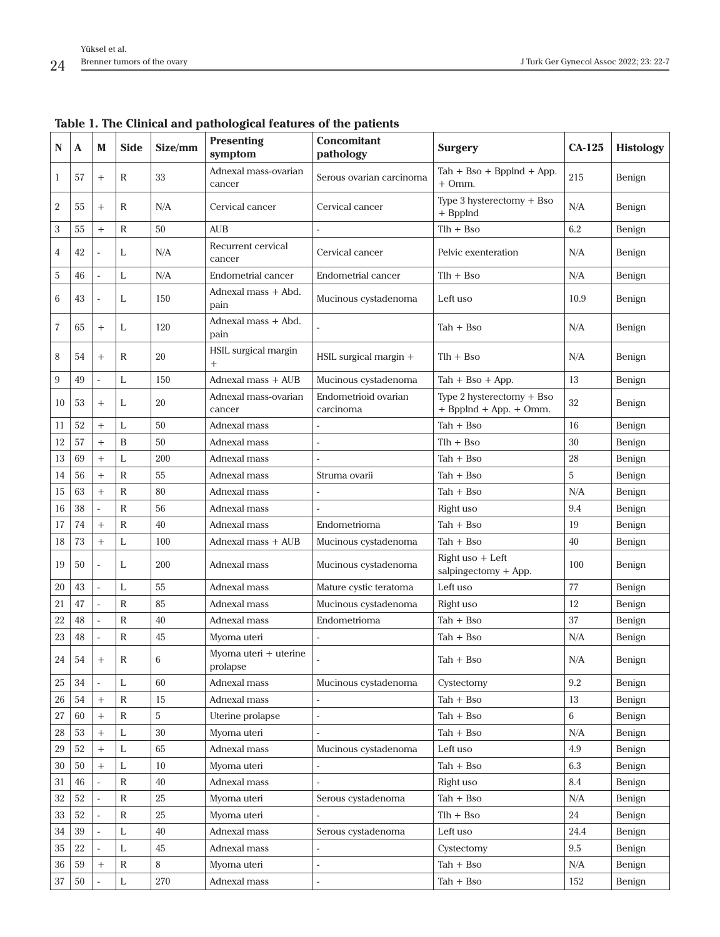| N                | A  | M                                | <b>Side</b>  | Size/mm | <b>Presenting</b><br>symptom      | <b>Concomitant</b><br>pathology   | <b>Surgery</b>                                                      | $CA-125$ | <b>Histology</b> |
|------------------|----|----------------------------------|--------------|---------|-----------------------------------|-----------------------------------|---------------------------------------------------------------------|----------|------------------|
| $\mathbf{1}$     | 57 | $^{+}$                           | R            | 33      | Adnexal mass-ovarian<br>cancer    | Serous ovarian carcinoma          | $\text{Tab} + \text{Bso} + \text{BppInd} + \text{App}.$<br>$+ Omm.$ | 215      | Benign           |
| $\boldsymbol{2}$ | 55 | $^{+}$                           | R            | N/A     | Cervical cancer                   | Cervical cancer                   | Type 3 hysterectomy + Bso<br>N/A<br>+ Bpplnd                        |          | Benign           |
| $\,3$            | 55 | $^{+}$                           | $\mathbb{R}$ | 50      | <b>AUB</b>                        |                                   | 6.2<br>Tlh + Bso                                                    |          | Benign           |
| $\overline{4}$   | 42 |                                  | L            | N/A     | Recurrent cervical<br>cancer      | Cervical cancer                   | Pelvic exenteration<br>N/A                                          |          | Benign           |
| 5                | 46 | $\overline{\phantom{a}}$         | L            | N/A     | Endometrial cancer                | Endometrial cancer                | Tlh + Bso                                                           | N/A      | Benign           |
| 6                | 43 |                                  | L            | 150     | Adnexal mass + Abd.<br>pain       | Mucinous cystadenoma              | Left uso                                                            | 10.9     | Benign           |
| $\overline{7}$   | 65 | $^{+}$                           | L            | 120     | Adnexal mass + Abd.<br>pain       |                                   | N/A<br>Tah + Bso                                                    |          | Benign           |
| 8                | 54 | $^{+}$                           | R            | 20      | HSIL surgical margin<br>$^{+}$    | HSIL surgical margin +            | N/A<br>$Tlh + Bso$                                                  |          | Benign           |
| $\boldsymbol{9}$ | 49 |                                  | L            | 150     | Adnexal mass + AUB                | Mucinous cystadenoma              | $Tah + Bso + App.$                                                  | 13       | Benign           |
| 10               | 53 | $\begin{array}{c} + \end{array}$ | L            | 20      | Adnexal mass-ovarian<br>cancer    | Endometrioid ovarian<br>carcinoma | Type 2 hysterectomy + Bso<br>32<br>$+$ Bpplnd $+$ App. $+$ Omm.     |          | Benign           |
| 11               | 52 | $^{+}$                           | L            | 50      | Adnexal mass                      |                                   | Tah + Bso                                                           | 16       | Benign           |
| 12               | 57 | $\qquad \qquad +$                | B            | 50      | Adnexal mass                      | $\overline{\phantom{a}}$          | Tlh + Bso                                                           | 30       | Benign           |
| 13               | 69 | $^{+}$                           | L            | 200     | Adnexal mass                      |                                   | $Tah + Bso$                                                         | 28       | Benign           |
| 14               | 56 | $+$                              | R            | 55      | Adnexal mass                      | Struma ovarii                     | Tah + Bso                                                           | 5        | Benign           |
| 15               | 63 | $\qquad \qquad +$                | R            | 80      | Adnexal mass                      |                                   | Tah + Bso                                                           | N/A      | Benign           |
| 16               | 38 |                                  | $\mathbb{R}$ | 56      | Adnexal mass                      |                                   | Right uso                                                           | 9.4      | Benign           |
| 17               | 74 | $^{+}$                           | R            | 40      | Adnexal mass                      | Endometrioma                      | Tah + Bso                                                           | 19       | Benign           |
| 18               | 73 | $\qquad \qquad +$                | Г            | 100     | Adnexal mass + AUB                | Mucinous cystadenoma              | $Tah + Bso$                                                         | 40       | Benign           |
| 19               | 50 |                                  | L            | 200     | Adnexal mass                      | Mucinous cystadenoma              | $Right$ uso $+$ Left<br>$salpingedomy + App.$                       | 100      | Benign           |
| 20               | 43 | $\overline{\phantom{a}}$         | L            | 55      | Adnexal mass                      | Mature cystic teratoma            | Left uso                                                            | 77       | Benign           |
| 21               | 47 |                                  | $\mathbb{R}$ | 85      | Adnexal mass                      | Mucinous cystadenoma              | 12<br>Right uso                                                     |          | Benign           |
| 22               | 48 | $\sim$                           | R            | 40      | Adnexal mass                      | Endometrioma                      | $Tah + Bso$                                                         | 37       | Benign           |
| 23               | 48 |                                  | R            | 45      | Myoma uteri                       |                                   | Tah + Bso                                                           | N/A      | Benign           |
| $\sqrt{24}$      | 54 | $^{+}$                           | R            | 6       | Myoma uteri + uterine<br>prolapse |                                   | N/A<br>$Tah + Bso$                                                  |          | Benign           |
| 25               | 34 |                                  | L            | 60      | Adnexal mass                      | Mucinous cystadenoma              | Cystectomy<br>9.2                                                   |          | Benign           |
| $26\,$           | 54 | $\begin{array}{c} + \end{array}$ | $\mathsf{R}$ | 15      | Adnexal mass                      |                                   | 13<br>$Tah + Bso$                                                   |          | Benign           |
| $27\,$           | 60 | $^{+}$                           | R            | 5       | Uterine prolapse                  | ÷,                                | Tah + Bso                                                           | 6        | Benign           |
| $\rm 28$         | 53 | $\qquad \qquad +$                | L            | 30      | Myoma uteri                       |                                   | N/A<br>$Tah + Bso$                                                  |          | Benign           |
| 29               | 52 | $\begin{array}{c} + \end{array}$ | L            | 65      | Adnexal mass                      | Mucinous cystadenoma              | Left uso                                                            | $4.9\,$  | Benign           |
| $30\,$           | 50 | $+$                              | L            | 10      | Myoma uteri                       | $\overline{\phantom{a}}$          | $Tah + Bso$                                                         | 6.3      | Benign           |
| 31               | 46 |                                  | $\mathbb{R}$ | 40      | Adnexal mass                      |                                   | Right uso                                                           | 8.4      | Benign           |
| $32\,$           | 52 |                                  | $\mathsf{R}$ | $25\,$  | Myoma uteri                       | Serous cystadenoma                | $Tah + Bso$                                                         | N/A      | Benign           |
| 33               | 52 | $\overline{\phantom{a}}$         | R            | 25      | Myoma uteri                       |                                   | $Tlh + Bso$                                                         | 24       | Benign           |
| 34               | 39 | $\blacksquare$                   | L            | 40      | Adnexal mass                      | Serous cystadenoma                | 24.4<br>Left uso                                                    |          | Benign           |
| 35               | 22 |                                  | L            | 45      | Adnexal mass                      | $\overline{\phantom{a}}$          | Cystectomy                                                          | $9.5\,$  | Benign           |
| 36               | 59 | $^{+}$                           | $\mathbb R$  | 8       | Myoma uteri                       | ÷,                                | $Tah + Bso$                                                         | N/A      | Benign           |
| 37               | 50 |                                  | L            | $270\,$ | Adnexal mass                      | $\overline{\phantom{a}}$          | $Tah + Bso$                                                         | 152      | Benign           |

**Table 1. The Clinical and pathological features of the patients**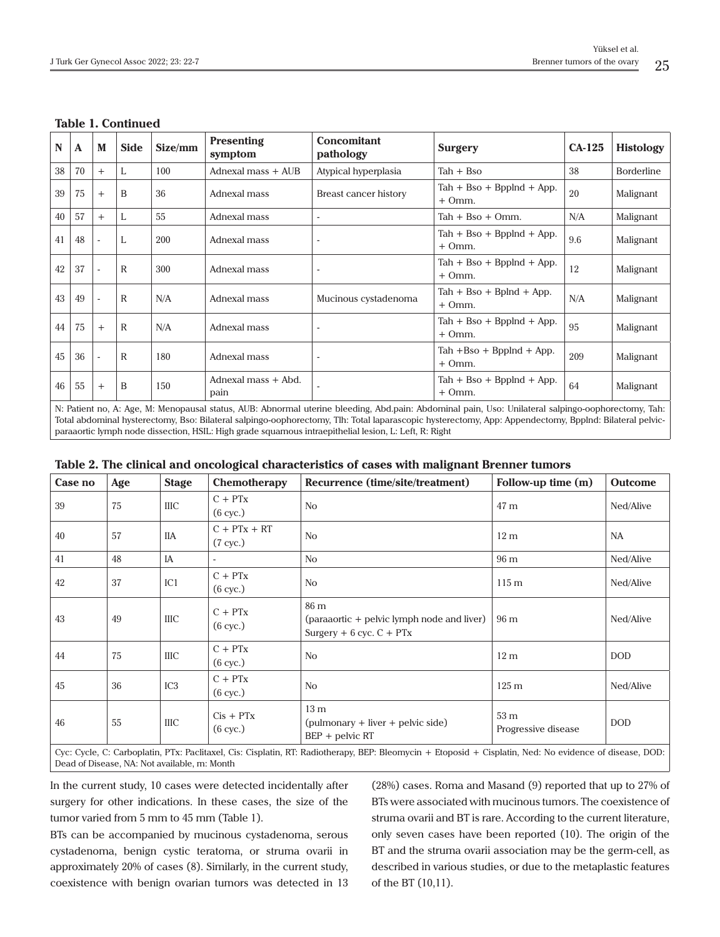| N                                                                                                                                                                                                                                                                                                            | A  | M      | <b>Side</b>  | Size/mm | <b>Presenting</b><br>symptom | <b>Concomitant</b><br>pathology | <b>Surgery</b>                                                            | $CA-125$ | <b>Histology</b>  |
|--------------------------------------------------------------------------------------------------------------------------------------------------------------------------------------------------------------------------------------------------------------------------------------------------------------|----|--------|--------------|---------|------------------------------|---------------------------------|---------------------------------------------------------------------------|----------|-------------------|
| 38                                                                                                                                                                                                                                                                                                           | 70 | $+$    | L            | 100     | Adnexal mass $+$ AUB         | Atypical hyperplasia            | 38<br>$Tah + Bso$                                                         |          | <b>Borderline</b> |
| 39                                                                                                                                                                                                                                                                                                           | 75 | $^{+}$ | B            | 36      | Adnexal mass                 | Breast cancer history           | $\text{Tab} + \text{Bso} + \text{BppInd} + \text{App}.$<br>20<br>$+ Omm.$ |          | Malignant         |
| 40                                                                                                                                                                                                                                                                                                           | 57 | $+$    | L            | 55      | Adnexal mass                 | ٠                               | N/A<br>$Tah + Bso + Omm.$                                                 |          | Malignant         |
| 41                                                                                                                                                                                                                                                                                                           | 48 |        | L            | 200     | Adnexal mass                 |                                 | $\text{Tab} + \text{Bso} + \text{BppInd} + \text{App}.$<br>$+ Omm.$       | 9.6      | Malignant         |
| 42                                                                                                                                                                                                                                                                                                           | 37 |        | R            | 300     | Adnexal mass                 |                                 | $\text{Tab} + \text{Bso} + \text{BppInd} + \text{App}.$<br>$+ Omm.$       | 12       | Malignant         |
| 43                                                                                                                                                                                                                                                                                                           | 49 |        | $\mathbb{R}$ | N/A     | Adnexal mass                 | Mucinous cystadenoma            | $\text{Tab} + \text{Bso} + \text{Bplnd} + \text{App}.$<br>$+ Omm.$        | N/A      | Malignant         |
| 44                                                                                                                                                                                                                                                                                                           | 75 | $^{+}$ | R            | N/A     | Adnexal mass                 |                                 | $\text{Tab} + \text{Bso} + \text{BppInd} + \text{App}.$<br>$+ Omm.$       | 95       | Malignant         |
| 45                                                                                                                                                                                                                                                                                                           | 36 |        | R            | 180     | Adnexal mass                 |                                 | Tah $+$ Bso $+$ Bpplnd $+$ App.<br>209<br>$+ Omm.$                        |          | Malignant         |
| 46                                                                                                                                                                                                                                                                                                           | 55 | $^{+}$ | B            | 150     | Adnexal mass + Abd.<br>pain  |                                 | $\text{Tab} + \text{Bso} + \text{BppInd} + \text{App}.$<br>64<br>$+ Omm.$ |          | Malignant         |
| N: Patient no, A: Age, M: Menopausal status, AUB: Abnormal uterine bleeding, Abd.pain: Abdominal pain, Uso: Unilateral salpingo-oophorectomy, Tah:<br>Total abdominal hysterectomy, Bso: Bilateral salpingo-oophorectomy, Tlh: Total laparascopic hysterectomy, App: Appendectomy, Bpplnd: Bilateral pelvic- |    |        |              |         |                              |                                 |                                                                           |          |                   |

#### **Table 1. Continued**

| Table 2. The clinical and oncological characteristics of cases with malignant Brenner tumors |  |
|----------------------------------------------------------------------------------------------|--|

paraaortic lymph node dissection, HSIL: High grade squamous intraepithelial lesion, L: Left, R: Right

| Case no                                                                                                                                         | Age | <b>Stage</b>    | Chemotherapy                         | Recurrence (time/site/treatment)                                                   | Follow-up time (m)                     | <b>Outcome</b> |  |
|-------------------------------------------------------------------------------------------------------------------------------------------------|-----|-----------------|--------------------------------------|------------------------------------------------------------------------------------|----------------------------------------|----------------|--|
| 39                                                                                                                                              | 75  | <b>IIIC</b>     | $C + PTX$<br>$(6 \text{ cyc.})$      | N <sub>o</sub>                                                                     | 47 m                                   | Ned/Alive      |  |
| 40                                                                                                                                              | 57  | <b>IIA</b>      | $C + PTX + RT$<br>$(7 \text{ cyc.})$ | N <sub>o</sub>                                                                     | 12 <sub>m</sub>                        | <b>NA</b>      |  |
| 41                                                                                                                                              | 48  | IA              |                                      | N <sub>o</sub>                                                                     | 96 m                                   | Ned/Alive      |  |
| 42                                                                                                                                              | 37  | IC1             | $C + PTX$<br>$(6$ cyc.)              | N <sub>o</sub>                                                                     | $115 \text{ m}$                        | Ned/Alive      |  |
| 43                                                                                                                                              | 49  | <b>IIIC</b>     | $C + PTX$<br>$(6 \text{ cyc.})$      | 86 m<br>(paraaortic + pelvic lymph node and liver)<br>Surgery $+ 6$ cyc. $C + PTx$ | 96 m                                   | Ned/Alive      |  |
| 44                                                                                                                                              | 75  | <b>IIIC</b>     | $C + PTX$<br>$(6$ cyc.)              | N <sub>o</sub>                                                                     | 12 <sub>m</sub>                        | <b>DOD</b>     |  |
| 45                                                                                                                                              | 36  | IC <sub>3</sub> | $C + PTX$<br>$(6 \text{ cyc.})$      | N <sub>o</sub>                                                                     | $125 \text{ m}$                        | Ned/Alive      |  |
| 46                                                                                                                                              | 55  | <b>IIIC</b>     | $Cis + PTx$<br>$(6 \text{ cyc.})$    | 13 <sub>m</sub><br>$(pulmonary + liver + pelvic side)$<br>$BEP +$ pelvic RT        | 53 <sub>m</sub><br>Progressive disease | <b>DOD</b>     |  |
| Cue Cuelo C. Carboniatin PTy: Paelitavel Cic: Cicolatin PT: Padjatherany PFP: Pleamyein   Etenesid   Cicolatin Ned: Ne evidence of disease DOD: |     |                 |                                      |                                                                                    |                                        |                |  |

'yc: Cycle, C: Carboplatin, PTx: Paclitaxel, Cis: Cisplatin, RT: Radiotherapy, BEP: Bleomycin + Etoposid + Cisplatin, Ned: No evidence Dead of Disease, NA: Not available, m: Month

In the current study, 10 cases were detected incidentally after surgery for other indications. In these cases, the size of the tumor varied from 5 mm to 45 mm (Table 1).

BTs can be accompanied by mucinous cystadenoma, serous cystadenoma, benign cystic teratoma, or struma ovarii in approximately 20% of cases (8). Similarly, in the current study, coexistence with benign ovarian tumors was detected in 13

(28%) cases. Roma and Masand (9) reported that up to 27% of BTs were associated with mucinous tumors. The coexistence of struma ovarii and BT is rare. According to the current literature, only seven cases have been reported (10). The origin of the BT and the struma ovarii association may be the germ-cell, as described in various studies, or due to the metaplastic features of the BT (10,11).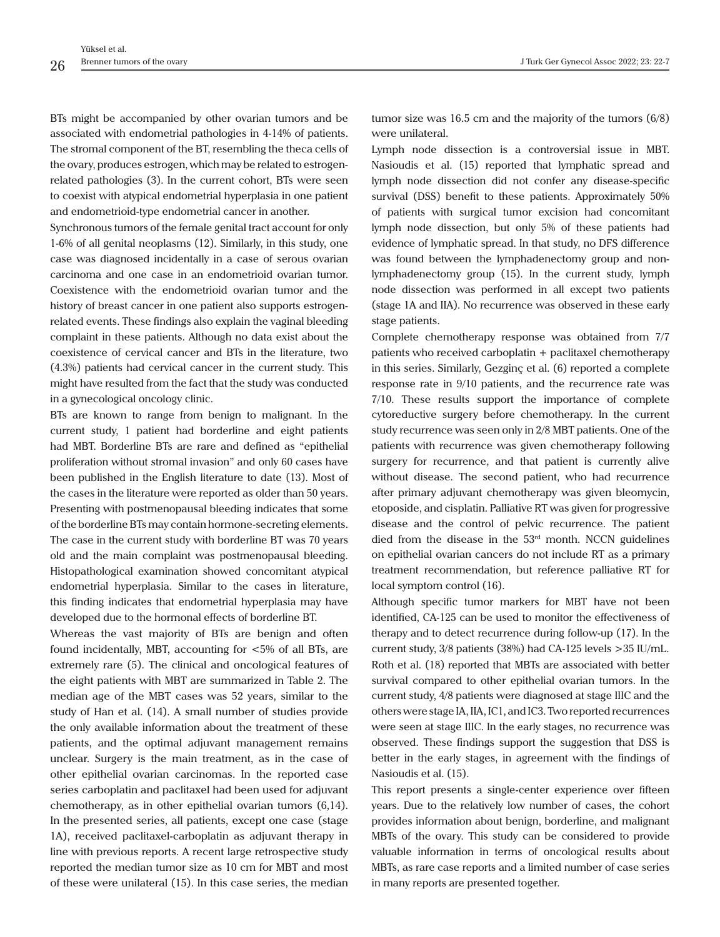BTs might be accompanied by other ovarian tumors and be associated with endometrial pathologies in 4-14% of patients. The stromal component of the BT, resembling the theca cells of the ovary, produces estrogen, which may be related to estrogenrelated pathologies (3). In the current cohort, BTs were seen to coexist with atypical endometrial hyperplasia in one patient and endometrioid-type endometrial cancer in another.

Synchronous tumors of the female genital tract account for only 1-6% of all genital neoplasms (12). Similarly, in this study, one case was diagnosed incidentally in a case of serous ovarian carcinoma and one case in an endometrioid ovarian tumor. Coexistence with the endometrioid ovarian tumor and the history of breast cancer in one patient also supports estrogenrelated events. These findings also explain the vaginal bleeding complaint in these patients. Although no data exist about the coexistence of cervical cancer and BTs in the literature, two (4.3%) patients had cervical cancer in the current study. This might have resulted from the fact that the study was conducted in a gynecological oncology clinic.

BTs are known to range from benign to malignant. In the current study, 1 patient had borderline and eight patients had MBT. Borderline BTs are rare and defined as "epithelial proliferation without stromal invasion" and only 60 cases have been published in the English literature to date (13). Most of the cases in the literature were reported as older than 50 years. Presenting with postmenopausal bleeding indicates that some of the borderline BTs may contain hormone-secreting elements. The case in the current study with borderline BT was 70 years old and the main complaint was postmenopausal bleeding. Histopathological examination showed concomitant atypical endometrial hyperplasia. Similar to the cases in literature, this finding indicates that endometrial hyperplasia may have developed due to the hormonal effects of borderline BT.

Whereas the vast majority of BTs are benign and often found incidentally, MBT, accounting for <5% of all BTs, are extremely rare (5). The clinical and oncological features of the eight patients with MBT are summarized in Table 2. The median age of the MBT cases was 52 years, similar to the study of Han et al. (14). A small number of studies provide the only available information about the treatment of these patients, and the optimal adjuvant management remains unclear. Surgery is the main treatment, as in the case of other epithelial ovarian carcinomas. In the reported case series carboplatin and paclitaxel had been used for adjuvant chemotherapy, as in other epithelial ovarian tumors (6,14). In the presented series, all patients, except one case (stage 1A), received paclitaxel-carboplatin as adjuvant therapy in line with previous reports. A recent large retrospective study reported the median tumor size as 10 cm for MBT and most of these were unilateral (15). In this case series, the median tumor size was 16.5 cm and the majority of the tumors (6/8) were unilateral.

Lymph node dissection is a controversial issue in MBT. Nasioudis et al. (15) reported that lymphatic spread and lymph node dissection did not confer any disease-specific survival (DSS) benefit to these patients. Approximately 50% of patients with surgical tumor excision had concomitant lymph node dissection, but only 5% of these patients had evidence of lymphatic spread. In that study, no DFS difference was found between the lymphadenectomy group and nonlymphadenectomy group (15). In the current study, lymph node dissection was performed in all except two patients (stage 1A and IIA). No recurrence was observed in these early stage patients.

Complete chemotherapy response was obtained from 7/7 patients who received carboplatin + paclitaxel chemotherapy in this series. Similarly, Gezginç et al. (6) reported a complete response rate in 9/10 patients, and the recurrence rate was 7/10. These results support the importance of complete cytoreductive surgery before chemotherapy. In the current study recurrence was seen only in 2/8 MBT patients. One of the patients with recurrence was given chemotherapy following surgery for recurrence, and that patient is currently alive without disease. The second patient, who had recurrence after primary adjuvant chemotherapy was given bleomycin, etoposide, and cisplatin. Palliative RT was given for progressive disease and the control of pelvic recurrence. The patient died from the disease in the  $53<sup>rd</sup>$  month. NCCN guidelines on epithelial ovarian cancers do not include RT as a primary treatment recommendation, but reference palliative RT for local symptom control (16).

Although specific tumor markers for MBT have not been identified, CA-125 can be used to monitor the effectiveness of therapy and to detect recurrence during follow-up (17). In the current study, 3/8 patients (38%) had CA-125 levels >35 IU/mL. Roth et al. (18) reported that MBTs are associated with better survival compared to other epithelial ovarian tumors. In the current study, 4/8 patients were diagnosed at stage IIIC and the others were stage IA, IIA, IC1, and IC3. Two reported recurrences were seen at stage IIIC. In the early stages, no recurrence was observed. These findings support the suggestion that DSS is better in the early stages, in agreement with the findings of Nasioudis et al. (15).

This report presents a single-center experience over fifteen years. Due to the relatively low number of cases, the cohort provides information about benign, borderline, and malignant MBTs of the ovary. This study can be considered to provide valuable information in terms of oncological results about MBTs, as rare case reports and a limited number of case series in many reports are presented together.